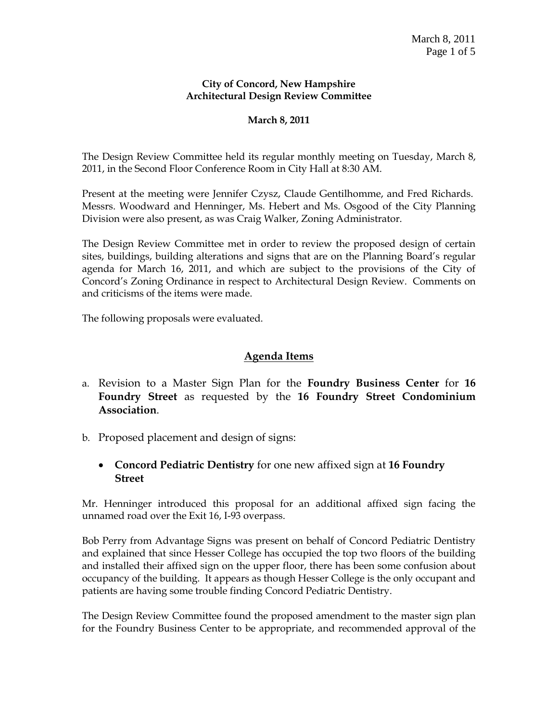#### **City of Concord, New Hampshire Architectural Design Review Committee**

#### **March 8, 2011**

The Design Review Committee held its regular monthly meeting on Tuesday, March 8, 2011, in the Second Floor Conference Room in City Hall at 8:30 AM.

Present at the meeting were Jennifer Czysz, Claude Gentilhomme, and Fred Richards. Messrs. Woodward and Henninger, Ms. Hebert and Ms. Osgood of the City Planning Division were also present, as was Craig Walker, Zoning Administrator.

The Design Review Committee met in order to review the proposed design of certain sites, buildings, building alterations and signs that are on the Planning Board's regular agenda for March 16, 2011, and which are subject to the provisions of the City of Concord's Zoning Ordinance in respect to Architectural Design Review. Comments on and criticisms of the items were made.

The following proposals were evaluated.

#### **Agenda Items**

- a. Revision to a Master Sign Plan for the **Foundry Business Center** for **16 Foundry Street** as requested by the **16 Foundry Street Condominium Association**.
- b. Proposed placement and design of signs:
	- **Concord Pediatric Dentistry** for one new affixed sign at **16 Foundry Street**

Mr. Henninger introduced this proposal for an additional affixed sign facing the unnamed road over the Exit 16, I-93 overpass.

Bob Perry from Advantage Signs was present on behalf of Concord Pediatric Dentistry and explained that since Hesser College has occupied the top two floors of the building and installed their affixed sign on the upper floor, there has been some confusion about occupancy of the building. It appears as though Hesser College is the only occupant and patients are having some trouble finding Concord Pediatric Dentistry.

The Design Review Committee found the proposed amendment to the master sign plan for the Foundry Business Center to be appropriate, and recommended approval of the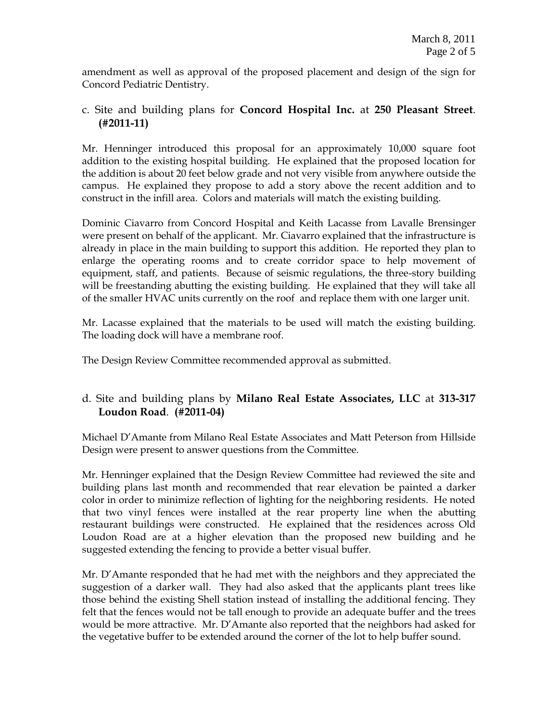amendment as well as approval of the proposed placement and design of the sign for Concord Pediatric Dentistry.

# c. Site and building plans for **Concord Hospital Inc.** at **250 Pleasant Street**. **(#2011-11)**

Mr. Henninger introduced this proposal for an approximately 10,000 square foot addition to the existing hospital building. He explained that the proposed location for the addition is about 20 feet below grade and not very visible from anywhere outside the campus. He explained they propose to add a story above the recent addition and to construct in the infill area. Colors and materials will match the existing building.

Dominic Ciavarro from Concord Hospital and Keith Lacasse from Lavalle Brensinger were present on behalf of the applicant. Mr. Ciavarro explained that the infrastructure is already in place in the main building to support this addition. He reported they plan to enlarge the operating rooms and to create corridor space to help movement of equipment, staff, and patients. Because of seismic regulations, the three-story building will be freestanding abutting the existing building. He explained that they will take all of the smaller HVAC units currently on the roof and replace them with one larger unit.

Mr. Lacasse explained that the materials to be used will match the existing building. The loading dock will have a membrane roof.

The Design Review Committee recommended approval as submitted.

# d. Site and building plans by **Milano Real Estate Associates, LLC** at **313-317 Loudon Road**. **(#2011-04)**

Michael D'Amante from Milano Real Estate Associates and Matt Peterson from Hillside Design were present to answer questions from the Committee.

Mr. Henninger explained that the Design Review Committee had reviewed the site and building plans last month and recommended that rear elevation be painted a darker color in order to minimize reflection of lighting for the neighboring residents. He noted that two vinyl fences were installed at the rear property line when the abutting restaurant buildings were constructed. He explained that the residences across Old Loudon Road are at a higher elevation than the proposed new building and he suggested extending the fencing to provide a better visual buffer.

Mr. D'Amante responded that he had met with the neighbors and they appreciated the suggestion of a darker wall. They had also asked that the applicants plant trees like those behind the existing Shell station instead of installing the additional fencing. They felt that the fences would not be tall enough to provide an adequate buffer and the trees would be more attractive. Mr. D'Amante also reported that the neighbors had asked for the vegetative buffer to be extended around the corner of the lot to help buffer sound.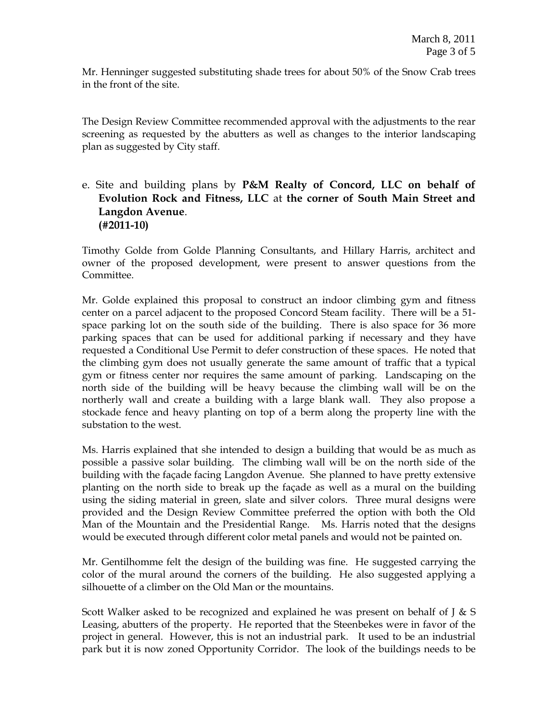Mr. Henninger suggested substituting shade trees for about 50% of the Snow Crab trees in the front of the site.

The Design Review Committee recommended approval with the adjustments to the rear screening as requested by the abutters as well as changes to the interior landscaping plan as suggested by City staff.

# e. Site and building plans by **P&M Realty of Concord, LLC on behalf of Evolution Rock and Fitness, LLC** at **the corner of South Main Street and Langdon Avenue**. **(#2011-10)**

Timothy Golde from Golde Planning Consultants, and Hillary Harris, architect and owner of the proposed development, were present to answer questions from the Committee.

Mr. Golde explained this proposal to construct an indoor climbing gym and fitness center on a parcel adjacent to the proposed Concord Steam facility. There will be a 51 space parking lot on the south side of the building. There is also space for 36 more parking spaces that can be used for additional parking if necessary and they have requested a Conditional Use Permit to defer construction of these spaces. He noted that the climbing gym does not usually generate the same amount of traffic that a typical gym or fitness center nor requires the same amount of parking. Landscaping on the north side of the building will be heavy because the climbing wall will be on the northerly wall and create a building with a large blank wall. They also propose a stockade fence and heavy planting on top of a berm along the property line with the substation to the west.

Ms. Harris explained that she intended to design a building that would be as much as possible a passive solar building. The climbing wall will be on the north side of the building with the façade facing Langdon Avenue. She planned to have pretty extensive planting on the north side to break up the façade as well as a mural on the building using the siding material in green, slate and silver colors. Three mural designs were provided and the Design Review Committee preferred the option with both the Old Man of the Mountain and the Presidential Range. Ms. Harris noted that the designs would be executed through different color metal panels and would not be painted on.

Mr. Gentilhomme felt the design of the building was fine. He suggested carrying the color of the mural around the corners of the building. He also suggested applying a silhouette of a climber on the Old Man or the mountains.

Scott Walker asked to be recognized and explained he was present on behalf of  $J & S$ Leasing, abutters of the property. He reported that the Steenbekes were in favor of the project in general. However, this is not an industrial park. It used to be an industrial park but it is now zoned Opportunity Corridor. The look of the buildings needs to be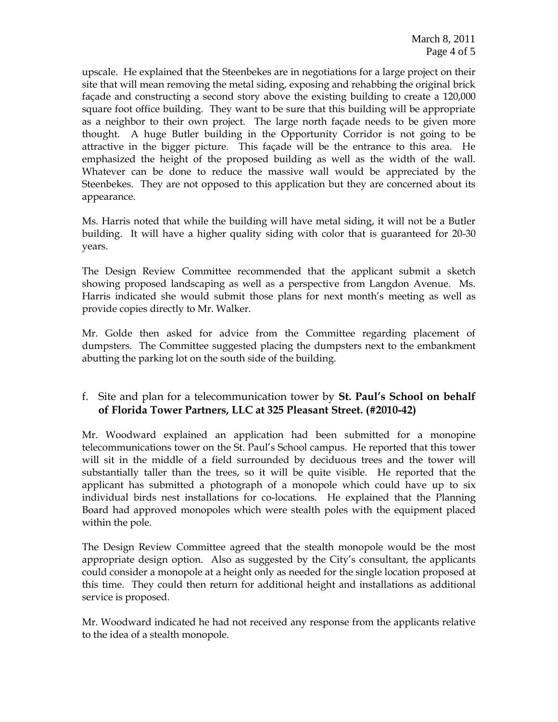upscale. He explained that the Steenbekes are in negotiations for a large project on their site that will mean removing the metal siding, exposing and rehabbing the original brick façade and constructing a second story above the existing building to create a 120,000 square foot office building. They want to be sure that this building will be appropriate as a neighbor to their own project. The large north façade needs to be given more thought. A huge Butler building in the Opportunity Corridor is not going to be attractive in the bigger picture. This façade will be the entrance to this area. He emphasized the height of the proposed building as well as the width of the wall. Whatever can be done to reduce the massive wall would be appreciated by the Steenbekes. They are not opposed to this application but they are concerned about its appearance.

Ms. Harris noted that while the building will have metal siding, it will not be a Butler building. It will have a higher quality siding with color that is guaranteed for 20-30 years.

The Design Review Committee recommended that the applicant submit a sketch showing proposed landscaping as well as a perspective from Langdon Avenue. Ms. Harris indicated she would submit those plans for next month's meeting as well as provide copies directly to Mr. Walker.

Mr. Golde then asked for advice from the Committee regarding placement of dumpsters. The Committee suggested placing the dumpsters next to the embankment abutting the parking lot on the south side of the building.

# f. Site and plan for a telecommunication tower by **St. Paul's School on behalf of Florida Tower Partners, LLC at 325 Pleasant Street. (#2010-42)**

Mr. Woodward explained an application had been submitted for a monopine telecommunications tower on the St. Paul's School campus. He reported that this tower will sit in the middle of a field surrounded by deciduous trees and the tower will substantially taller than the trees, so it will be quite visible. He reported that the applicant has submitted a photograph of a monopole which could have up to six individual birds nest installations for co-locations. He explained that the Planning Board had approved monopoles which were stealth poles with the equipment placed within the pole.

The Design Review Committee agreed that the stealth monopole would be the most appropriate design option. Also as suggested by the City's consultant, the applicants could consider a monopole at a height only as needed for the single location proposed at this time. They could then return for additional height and installations as additional service is proposed.

Mr. Woodward indicated he had not received any response from the applicants relative to the idea of a stealth monopole.